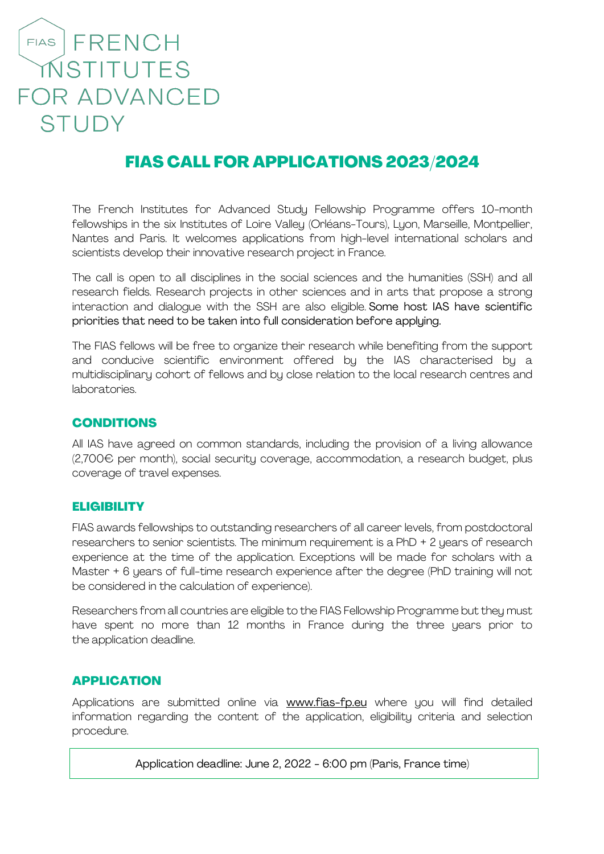# FIAS FRENCH MSTITUTES **FOR ADVANCED STUDY**

# FIAS CALL FOR APPLICATIONS 2023/2024

The French Institutes for Advanced Study Fellowship Programme offers 10-month fellowships in the six Institutes of Loire Valley (Orléans-Tours), Lyon, Marseille, Montpellier, Nantes and Paris. It welcomes applications from high-level international scholars and scientists develop their innovative research project in France.

The call is open to all disciplines in the social sciences and the humanities (SSH) and all research fields. Research projects in other sciences and in arts that propose a strong interaction and dialogue with the SSH are also eligible. Some host IAS have scientific priorities that need to be taken into full consideration before applying.

The FIAS fellows will be free to organize their research while benefiting from the support and conducive scientific environment offered by the IAS characterised by a multidisciplinary cohort of fellows and by close relation to the local research centres and laboratories.

## CONDITIONS

All IAS have agreed on common standards, including the provision of a living allowance (2,700€ per month), social security coverage, accommodation, a research budget, plus coverage of travel expenses.

#### **ELIGIBILITY**

FIAS awards fellowships to outstanding researchers of all career levels, from postdoctoral researchers to senior scientists. The minimum requirement is a PhD + 2 years of research experience at the time of the application. Exceptions will be made for scholars with a Master + 6 years of full-time research experience after the degree (PhD training will not be considered in the calculation of experience).

Researchers from all countries are eligible to the FIAS Fellowship Programme but they must have spent no more than 12 months in France during the three years prior to the application deadline.

#### APPLICATION

Applications are submitted online via www.fias-fp.eu where you will find detailed information regarding the content of the application, eligibility criteria and selection procedure.

Application deadline: June 2, 2022 - 6:00 pm (Paris, France time)